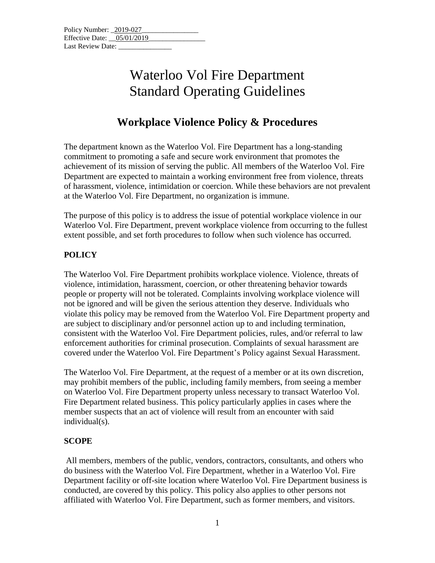# **Workplace Violence Policy & Procedures**

The department known as the Waterloo Vol. Fire Department has a long-standing commitment to promoting a safe and secure work environment that promotes the achievement of its mission of serving the public. All members of the Waterloo Vol. Fire Department are expected to maintain a working environment free from violence, threats of harassment, violence, intimidation or coercion. While these behaviors are not prevalent at the Waterloo Vol. Fire Department, no organization is immune.

The purpose of this policy is to address the issue of potential workplace violence in our Waterloo Vol. Fire Department, prevent workplace violence from occurring to the fullest extent possible, and set forth procedures to follow when such violence has occurred.

# **POLICY**

The Waterloo Vol. Fire Department prohibits workplace violence. Violence, threats of violence, intimidation, harassment, coercion, or other threatening behavior towards people or property will not be tolerated. Complaints involving workplace violence will not be ignored and will be given the serious attention they deserve. Individuals who violate this policy may be removed from the Waterloo Vol. Fire Department property and are subject to disciplinary and/or personnel action up to and including termination, consistent with the Waterloo Vol. Fire Department policies, rules, and/or referral to law enforcement authorities for criminal prosecution. Complaints of sexual harassment are covered under the Waterloo Vol. Fire Department's Policy against Sexual Harassment.

The Waterloo Vol. Fire Department, at the request of a member or at its own discretion, may prohibit members of the public, including family members, from seeing a member on Waterloo Vol. Fire Department property unless necessary to transact Waterloo Vol. Fire Department related business. This policy particularly applies in cases where the member suspects that an act of violence will result from an encounter with said individual(s).

## **SCOPE**

All members, members of the public, vendors, contractors, consultants, and others who do business with the Waterloo Vol. Fire Department, whether in a Waterloo Vol. Fire Department facility or off-site location where Waterloo Vol. Fire Department business is conducted, are covered by this policy. This policy also applies to other persons not affiliated with Waterloo Vol. Fire Department, such as former members, and visitors.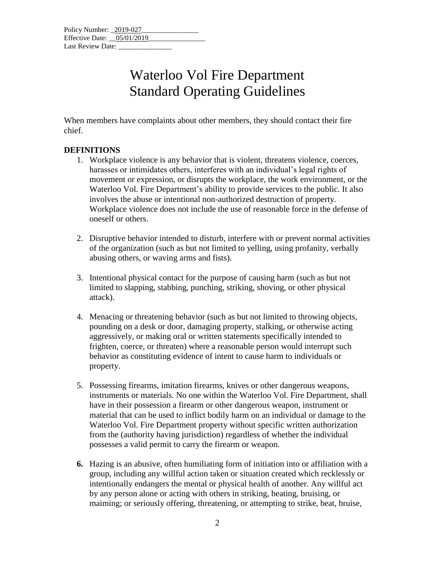When members have complaints about other members, they should contact their fire chief.

#### **DEFINITIONS**

- 1. Workplace violence is any behavior that is violent, threatens violence, coerces, harasses or intimidates others, interferes with an individual's legal rights of movement or expression, or disrupts the workplace, the work environment, or the Waterloo Vol. Fire Department's ability to provide services to the public. It also involves the abuse or intentional non-authorized destruction of property. Workplace violence does not include the use of reasonable force in the defense of oneself or others.
- 2. Disruptive behavior intended to disturb, interfere with or prevent normal activities of the organization (such as but not limited to yelling, using profanity, verbally abusing others, or waving arms and fists).
- 3. Intentional physical contact for the purpose of causing harm (such as but not limited to slapping, stabbing, punching, striking, shoving, or other physical attack).
- 4. Menacing or threatening behavior (such as but not limited to throwing objects, pounding on a desk or door, damaging property, stalking, or otherwise acting aggressively, or making oral or written statements specifically intended to frighten, coerce, or threaten) where a reasonable person would interrupt such behavior as constituting evidence of intent to cause harm to individuals or property.
- 5. Possessing firearms, imitation firearms, knives or other dangerous weapons, instruments or materials. No one within the Waterloo Vol. Fire Department, shall have in their possession a firearm or other dangerous weapon, instrument or material that can be used to inflict bodily harm on an individual or damage to the Waterloo Vol. Fire Department property without specific written authorization from the (authority having jurisdiction) regardless of whether the individual possesses a valid permit to carry the firearm or weapon.
- **6.** Hazing is an abusive, often humiliating form of initiation into or affiliation with a group, including any willful action taken or situation created which recklessly or intentionally endangers the mental or physical health of another. Any willful act by any person alone or acting with others in striking, beating, bruising, or maiming; or seriously offering, threatening, or attempting to strike, beat, bruise,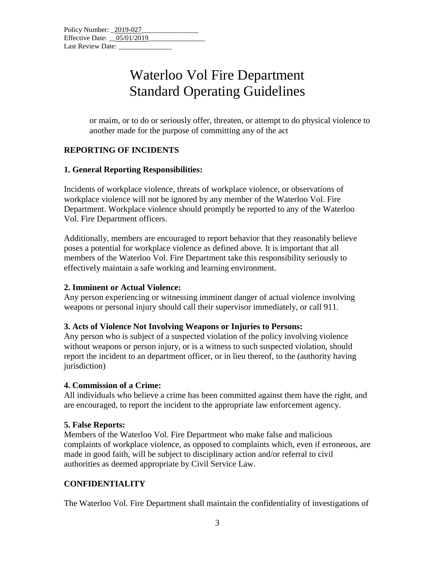or maim, or to do or seriously offer, threaten, or attempt to do physical violence to another made for the purpose of committing any of the act

# **REPORTING OF INCIDENTS**

#### **1. General Reporting Responsibilities:**

Incidents of workplace violence, threats of workplace violence, or observations of workplace violence will not be ignored by any member of the Waterloo Vol. Fire Department. Workplace violence should promptly be reported to any of the Waterloo Vol. Fire Department officers.

Additionally, members are encouraged to report behavior that they reasonably believe poses a potential for workplace violence as defined above. It is important that all members of the Waterloo Vol. Fire Department take this responsibility seriously to effectively maintain a safe working and learning environment.

## **2. Imminent or Actual Violence:**

Any person experiencing or witnessing imminent danger of actual violence involving weapons or personal injury should call their supervisor immediately, or call 911.

#### **3. Acts of Violence Not Involving Weapons or Injuries to Persons:**

Any person who is subject of a suspected violation of the policy involving violence without weapons or person injury, or is a witness to such suspected violation, should report the incident to an department officer, or in lieu thereof, to the (authority having jurisdiction)

## **4. Commission of a Crime:**

All individuals who believe a crime has been committed against them have the right, and are encouraged, to report the incident to the appropriate law enforcement agency.

#### **5. False Reports:**

Members of the Waterloo Vol. Fire Department who make false and malicious complaints of workplace violence, as opposed to complaints which, even if erroneous, are made in good faith, will be subject to disciplinary action and/or referral to civil authorities as deemed appropriate by Civil Service Law.

## **CONFIDENTIALITY**

The Waterloo Vol. Fire Department shall maintain the confidentiality of investigations of